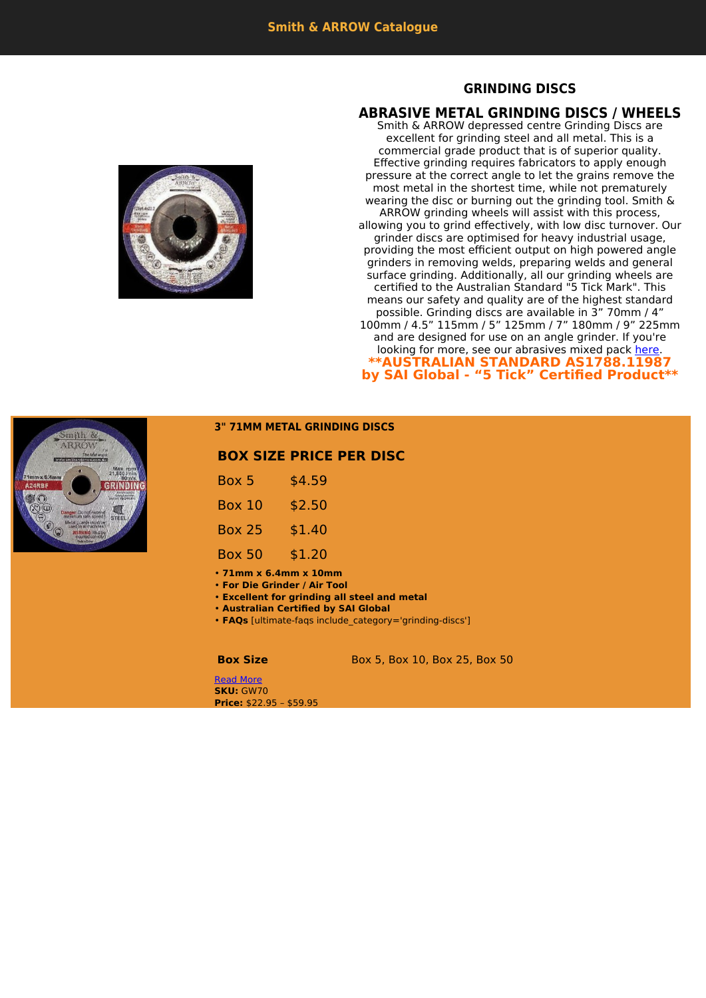## **GRINDING DISCS**

## **ABRASIVE METAL GRINDING DISCS / WHEELS**

Smith & ARROW depressed centre Grinding Discs are excellent for grinding steel and all metal. This is a commercial grade product that is of superior quality. Effective grinding requires fabricators to apply enough pressure at the correct angle to let the grains remove the most metal in the shortest time, while not prematurely wearing the disc or burning out the grinding tool. Smith & ARROW grinding wheels will assist with this process, allowing you to grind effectively, with low disc turnover. Our grinder discs are optimised for heavy industrial usage, providing the most efficient output on high powered angle grinders in removing welds, preparing welds and general surface grinding. Additionally, all our grinding wheels are certified to the Australian Standard "5 Tick Mark". This means our safety and quality are of the highest standard possible. Grinding discs are available in 3" 70mm / 4" 100mm / 4.5" 115mm / 5" 125mm / 7" 180mm / 9" 225mm and are designed for use on an angle grinder. If you're looking for more, see our abrasives mixed pack [here](https://www.smithandarrow.com.au/product-category/mixed-abrasive-combination-pack/4-100mm-mixed-abrasive-combination-pack/). **\*\*AUSTRALIAN STANDARD AS1788.11987 by SAI Global - "5 Tick" Certified Product\*\***





## **3" 71MM METAL GRINDING DISCS**

## **BOX SIZE PRICE PER DISC**

| Box 5         | \$4.59 |
|---------------|--------|
| Box 10        | \$2.50 |
| <b>Box 25</b> | \$1.40 |
| <b>Box 50</b> | \$1.20 |

• **71mm x 6.4mm x 10mm**

• **For Die Grinder / Air Tool**

• **Excellent for grinding all steel and metal**

• **Australian Certified by SAI Global**

• **FAQs** [ultimate-faqs include\_category='grinding-discs']

**Box Size** Box 5, Box 10, Box 25, Box 50

[Read More](https://www.smithandarrow.com.au/product/grinding-discs-wheels/3-71mm-metal-grinding-discs/) **SKU:** GW70 **Price:** \$22.95 – \$59.95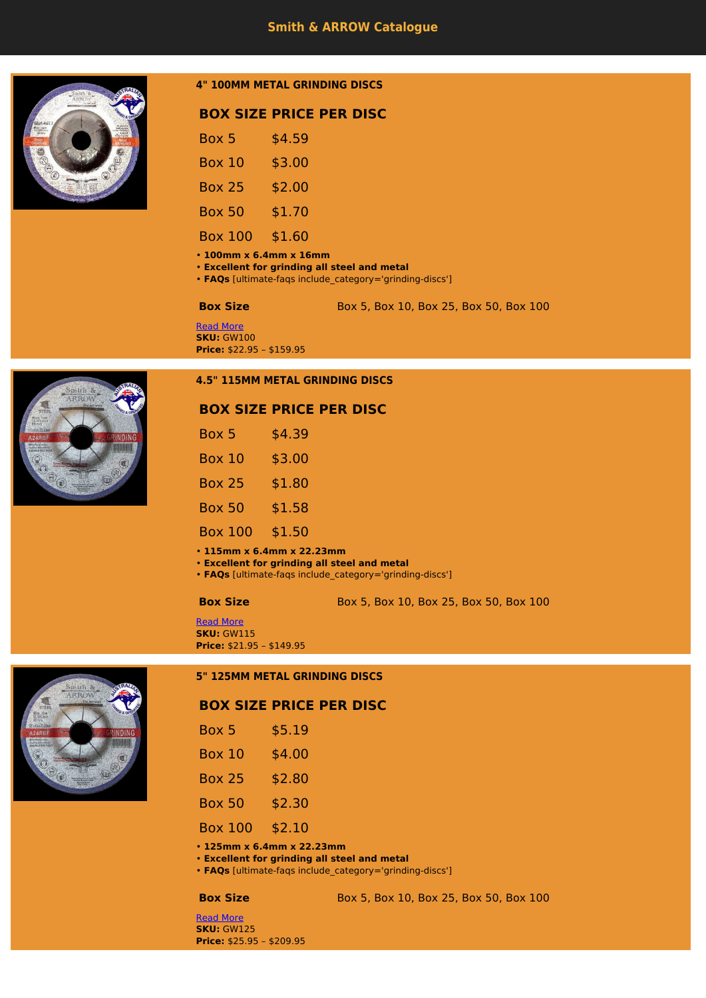

## **4" 100MM METAL GRINDING DISCS**

# **BOX SIZE PRICE PER DISC**

| Box 5          | \$4.59 |
|----------------|--------|
| <b>Box 10</b>  | \$3.00 |
| <b>Box 25</b>  | \$2.00 |
| <b>Box 50</b>  | \$1.70 |
| <b>Box 100</b> | \$1.60 |

• **100mm x 6.4mm x 16mm**

- **Excellent for grinding all steel and metal**
- **FAQs** [ultimate-faqs include\_category='grinding-discs']

**Box Size** Box 5, Box 10, Box 25, Box 50, Box 100

### [Read More](https://www.smithandarrow.com.au/product/grinding-discs-wheels/4-100mm-grinding-discs-wheels/metal-grinding-discs-wheels-4-100mm-2/) **SKU:** GW100 **Price:** \$22.95 – \$159.95



## **4.5" 115MM METAL GRINDING DISCS**

|                | <b>BOX SIZE PRICE PER DISC</b> |
|----------------|--------------------------------|
| Box 5          | \$4.39                         |
| <b>Box 10</b>  | \$3.00                         |
| <b>Box 25</b>  | \$1.80                         |
| <b>Box 50</b>  | \$1.58                         |
| <b>Box 100</b> | \$1.50                         |

• **115mm x 6.4mm x 22.23mm**

• **Excellent for grinding all steel and metal**

• **FAQs** [ultimate-faqs include\_category='grinding-discs']

**Box Size** Box 5, Box 10, Box 25, Box 50, Box 100

[Read More](https://www.smithandarrow.com.au/product/grinding-discs-wheels/4-5-115mm-grinding-discs-wheels/metal-grinding-discs-wheels-4-100mm/) **SKU:** GW115 **Price:** \$21.95 – \$149.95

### **5" 125MM METAL GRINDING DISCS**

## **BOX SIZE PRICE PER DISC**

| Box 5          | \$5.19 |
|----------------|--------|
| Box 10         | \$4.00 |
| <b>Box 25</b>  | \$2.80 |
| <b>Box 50</b>  | \$2.30 |
| <b>Box 100</b> | \$2.10 |
|                |        |

• **125mm x 6.4mm x 22.23mm**

- **Excellent for grinding all steel and metal**
- **FAQs** [ultimate-faqs include\_category='grinding-discs']

### **Box Size** Box 5, Box 10, Box 25, Box 50, Box 100

[Read More](https://www.smithandarrow.com.au/product/grinding-discs-wheels/5-125mm-grinding-discs-wheels/metal-grinding-discs-wheels-5-125mm/) **SKU:** GW125 **Price:** \$25.95 – \$209.95